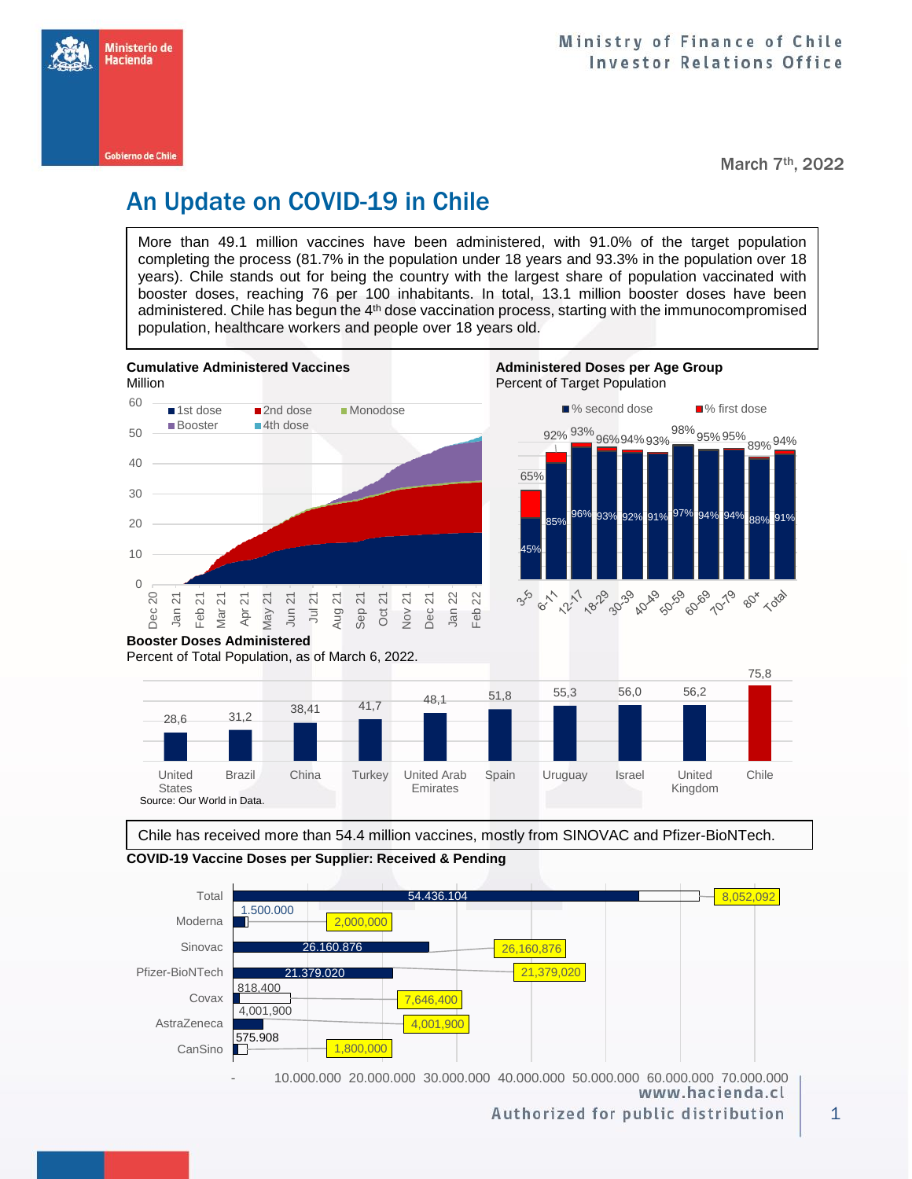

March 7th, 2022

80 1028

# An Update on COVID-19 in Chile

More than 49.1 million vaccines have been administered, with 91.0% of the target population completing the process (81.7% in the population under 18 years and 93.3% in the population over 18 years). Chile stands out for being the country with the largest share of population vaccinated with booster doses, reaching 76 per 100 inhabitants. In total, 13.1 million booster doses have been administered. Chile has begun the 4<sup>th</sup> dose vaccination process, starting with the immunocompromised population, healthcare workers and people over 18 years old.



Percent of Total Population, as of March 6, 2022.



Chile has received more than 54.4 million vaccines, mostly from SINOVAC and Pfizer-BioNTech.

**COVID-19 Vaccine Doses per Supplier: Received & Pending**

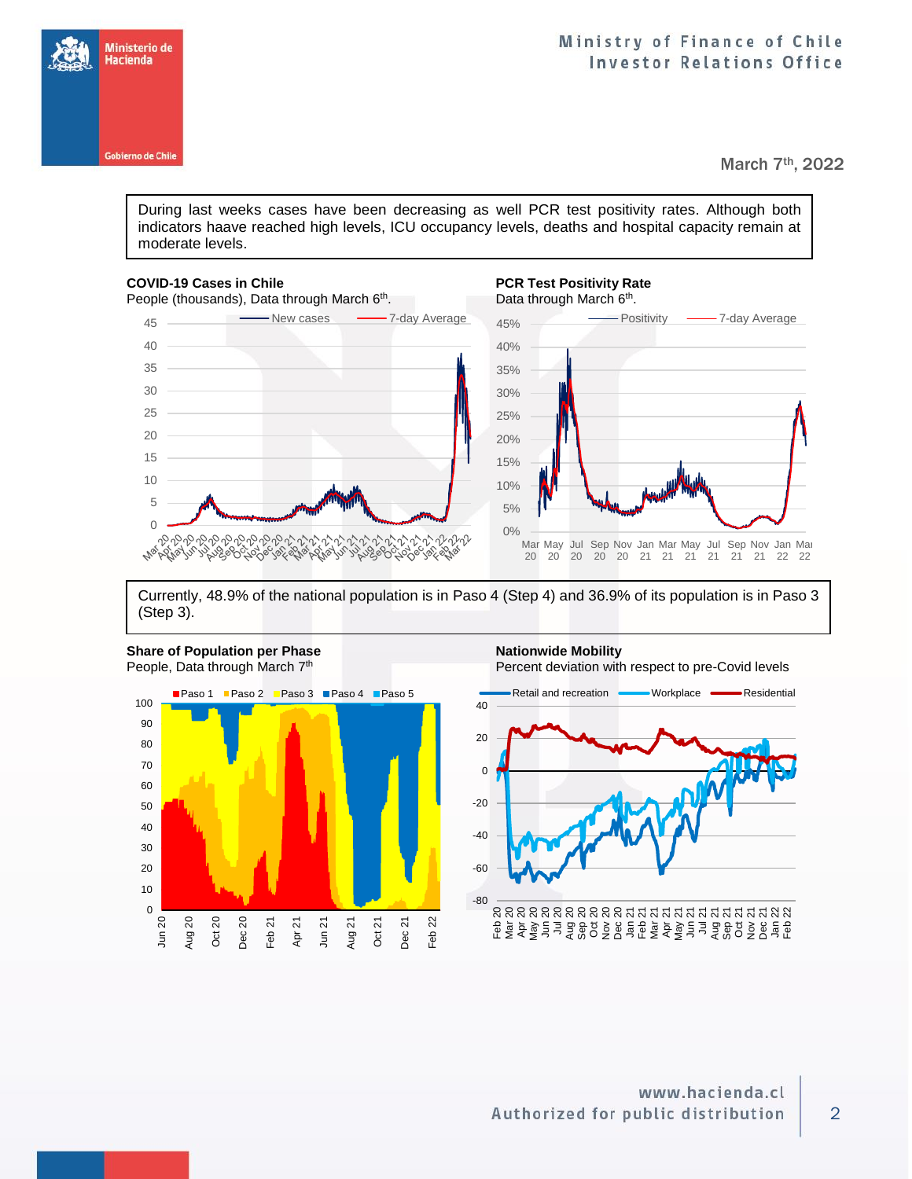



March 7th, 2022

During last weeks cases have been decreasing as well PCR test positivity rates. Although both indicators haave reached high levels, ICU occupancy levels, deaths and hospital capacity remain at moderate levels.

### **COVID-19 Cases in Chile PCR Test Positivity Rate**



## . Data through March 6<sup>th</sup>.



Currently, 48.9% of the national population is in Paso 4 (Step 4) and 36.9% of its population is in Paso 3 (Step 3).